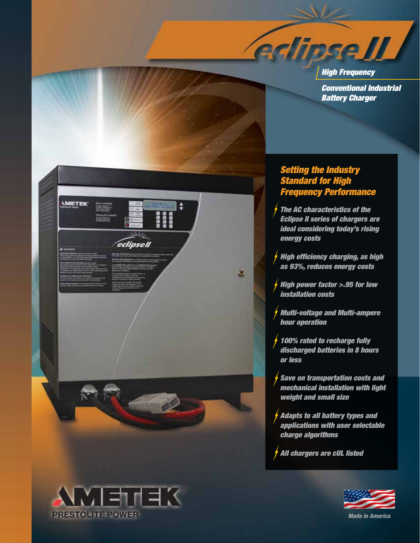*High Frequency Conventional Industrial Battery Charger*

# *Setting the Industry Standard for High Frequency Performance*

**Adipse II** 

*The AC characteristics of the Eclipse II series of chargers are ideal considering today's rising energy costs* 

*High efficiency charging, as high as 93%, reduces energy costs*

*High power factor >.95 for low installation costs*

*Multi-voltage and Multi-ampere hour operation*

*100% rated to recharge fully discharged batteries in 8 hours or less*

*Save on transportation costs and mechanical installation with light weight and small size*

*Adapts to all battery types and applications with user selectable charge algorithms*

*All chargers are cUL listed*





医巨中耳的 **PRESTOLITE POWER**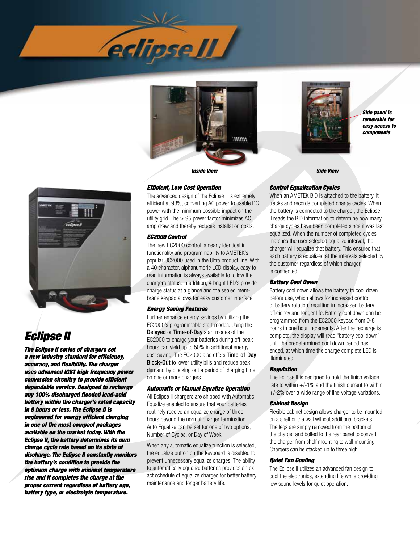





*Side panel is removable for easy access to components*



# *Eclipse II*

*The Eclipse II series of chargers set a new industry standard for efficiency, accuracy, and flexibility. The charger uses advanced IGBT high frequency power conversion circuitry to provide efficient dependable service. Designed to recharge any 100% discharged flooded lead-acid battery within the charger's rated capacity in 8 hours or less. The Eclipse II is engineered for energy efficient charging in one of the most compact packages available on the market today. With the Eclipse II, the battery determines its own charge cycle rate based on its state of discharge. The Eclipse II constantly monitors the battery's condition to provide the optimum charge with minimal temperature rise and it completes the charge at the proper current regardless of battery age, battery type, or electrolyte temperature.*

# *Efficient, Low Cost Operation*

The advanced design of the Eclipse II is extremely efficient at 93%, converting AC power to usable DC power with the minimum possible impact on the utility grid. The >.95 power factor minimizes AC amp draw and thereby reduces installation costs.

# *EC2000 Control*

The new EC2000 control is nearly identical in functionality and programmability to AMETEK's popular UC2000 used in the Ultra product line. With a 40 character, alphanumeric LCD display, easy to read information is always available to follow the chargers status. In addition, 4 bright LED's provide charge status at a glance and the sealed membrane keypad allows for easy customer interface.

#### *Energy Saving Features*

Further enhance energy savings by utilizing the EC2000's programmable start modes. Using the Delayed or Time-of-Day start modes of the EC2000 to charge your batteries during off-peak hours can yield up to 50% in additional energy cost saving. The EC2000 also offers Time-of-Day Block-Out to lower utility bills and reduce peak demand by blocking out a period of charging time on one or more chargers.

#### *Automatic or Manual Equalize Operation*

All Eclipse II chargers are shipped with Automatic Equalize enabled to ensure that your batteries routinely receive an equalize charge of three hours beyond the normal charger termination. Auto Equalize can be set for one of two options, Number of Cycles, or Day of Week.

When any automatic equalize function is selected, the equalize button on the keyboard is disabled to prevent unnecessary equalize charges. The ability to automatically equalize batteries provides an exact schedule of equalize charges for better battery maintenance and longer battery life.

# *Control Equalization Cycles*

When an AMETEK BID is attached to the battery, it tracks and records completed charge cycles. When the battery is connected to the charger, the Eclipse II reads the BID information to determine how many charge cycles have been completed since it was last equalized. When the number of completed cycles matches the user selected equalize interval, the charger will equalize that battery. This ensures that each battery is equalized at the intervals selected by the customer regardless of which charger is connected.

#### *Battery Cool Down*

Battery cool down allows the battery to cool down before use, which allows for increased control of battery rotation, resulting in increased battery efficiency and longer life. Battery cool down can be programmed from the EC2000 keypad from 0-8 hours in one hour increments. After the recharge is complete, the display will read "battery cool down" until the predetermined cool down period has ended, at which time the charge complete LED is illuminated.

#### *Regulation*

The Eclipse II is designed to hold the finish voltage rate to within  $+/-1\%$  and the finish current to within +/-2% over a wide range of line voltage variations.

#### *Cabinet Design*

Flexible cabinet design allows charger to be mounted on a shelf or the wall without additional brackets. The legs are simply removed from the bottom of the charger and bolted to the rear panel to convert the charger from shelf mounting to wall mounting. Chargers can be stacked up to three high.

#### *Quiet Fan Cooling*

The Eclipse II utilizes an advanced fan design to cool the electronics, extending life while providing low sound levels for quiet operation.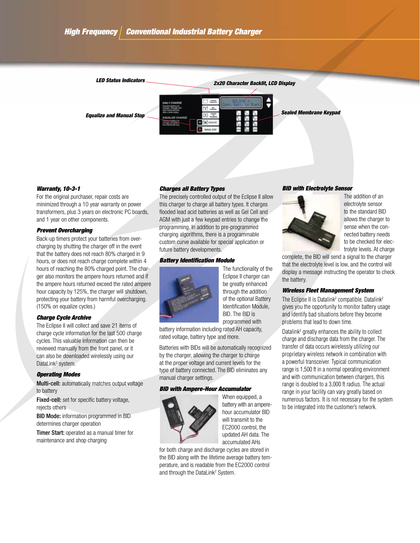

# *Warranty, 10-3-1*

For the original purchaser, repair costs are minimized through a 10 year warranty on power transformers, plus 3 years on electronic PC boards, and 1 year on other components.

# *Prevent Overcharging*

Back-up timers protect your batteries from overcharging by shutting the charger off in the event that the battery does not reach 80% charged in 9 hours, or does not reach charge complete within 4 hours of reaching the 80% charged point. The charger also monitors the ampere hours returned and if the ampere hours returned exceed the rated ampere hour capacity by 125%, the charger will shutdown, protecting your battery from harmful overcharging. (150% on equalize cycles.)

# *Charge Cycle Archive*

The Eclipse II will collect and save 21 items of charge cycle information for the last 500 charge cycles. This valuable information can then be reviewed manually from the front panel, or it can also be downloaded wirelessly using our DataLink<sup>2</sup> system.

#### *Operating Modes*

Multi-cell: automatically matches output voltage to battery

Fixed-cell: set for specific battery voltage, rejects others

BID Mode: information programmed in BID determines charger operation

**Timer Start:** operated as a manual timer for maintenance and shop charging

# *Charges all Battery Types*

The precisely controlled output of the Eclipse II allow this charger to charge all battery types. It charges flooded lead acid batteries as well as Gel Cell and AGM with just a few keypad entries to change the programming. In addition to pre-programmed charging algorithms, there is a programmable custom curve available for special application or future battery developments.

# *Battery Identification Module*



The functionality of the Eclipse II charger can be greatly enhanced through the addition of the optional Battery Identification Module, BID. The BID is programmed with

battery information including rated AH capacity, rated voltage, battery type and more.

Batteries with BIDs will be automatically recognized by the charger, allowing the charger to charge at the proper voltage and current levels for the type of battery connected. The BID eliminates any manual charger settings.

#### *BID with Ampere-Hour Accumulator*



When equipped, a battery with an amperehour accumulator BID will transmit to the EC2000 control, the updated AH data. The accumulated AHs

for both charge and discharge cycles are stored in the BID along with the lifetime average battery temperature, and is readable from the EC2000 control and through the DataLink<sup>2</sup> System.

#### *BID with Electrolyte Sensor*



The addition of an electrolyte sensor to the standard BID allows the charger to sense when the connected battery needs to be checked for electrolyte levels. At charge

complete, the BID will send a signal to the charger that the electrolyte level is low, and the control will display a message instructing the operator to check the battery.

# *Wireless Fleet Management System*

The Eclipse II is Datalink<sup>2</sup> compatible. Datalink<sup>2</sup> gives you the opportunity to monitor battery usage and identify bad situations before they become problems that lead to down time.

Datalink<sup>2</sup> greatly enhances the ability to collect charge and discharge data from the charger. The transfer of data occurs wirelessly utilizing our proprietary wireless network in combination with a powerful transceiver. Typical communication range is 1,500 ft in a normal operating environment and with communication between chargers, this range is doubled to a 3,000 ft radius. The actual range in your facility can vary greatly based on numerous factors. It is not necessary for the system to be integrated into the customer's network.